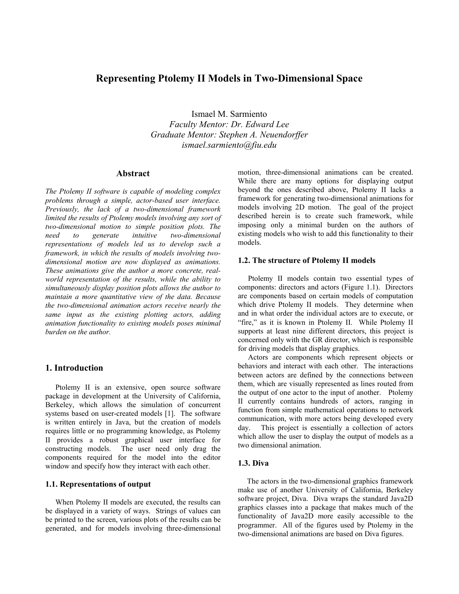# **Representing Ptolemy II Models in Two-Dimensional Space**

Ismael M. Sarmiento *Faculty Mentor: Dr. Edward Lee Graduate Mentor: Stephen A. Neuendorffer ismael.sarmiento@fiu.edu* 

### **Abstract**

*The Ptolemy II software is capable of modeling complex problems through a simple, actor-based user interface. Previously, the lack of a two-dimensional framework limited the results of Ptolemy models involving any sort of two-dimensional motion to simple position plots. The need to generate intuitive two-dimensional representations of models led us to develop such a framework, in which the results of models involving twodimensional motion are now displayed as animations. These animations give the author a more concrete, realworld representation of the results, while the ability to simultaneously display position plots allows the author to maintain a more quantitative view of the data. Because the two-dimensional animation actors receive nearly the same input as the existing plotting actors, adding animation functionality to existing models poses minimal burden on the author.* 

# **1. Introduction**

Ptolemy II is an extensive, open source software package in development at the University of California, Berkeley, which allows the simulation of concurrent systems based on user-created models [1]. The software is written entirely in Java, but the creation of models requires little or no programming knowledge, as Ptolemy II provides a robust graphical user interface for constructing models. The user need only drag the components required for the model into the editor window and specify how they interact with each other.

#### **1.1. Representations of output**

When Ptolemy II models are executed, the results can be displayed in a variety of ways. Strings of values can be printed to the screen, various plots of the results can be generated, and for models involving three-dimensional

motion, three-dimensional animations can be created. While there are many options for displaying output beyond the ones described above, Ptolemy II lacks a framework for generating two-dimensional animations for models involving 2D motion. The goal of the project described herein is to create such framework, while imposing only a minimal burden on the authors of existing models who wish to add this functionality to their models.

#### **1.2. The structure of Ptolemy II models**

Ptolemy II models contain two essential types of components: directors and actors (Figure 1.1). Directors are components based on certain models of computation which drive Ptolemy II models. They determine when and in what order the individual actors are to execute, or "fire," as it is known in Ptolemy II. While Ptolemy II supports at least nine different directors, this project is concerned only with the GR director, which is responsible for driving models that display graphics.

Actors are components which represent objects or behaviors and interact with each other. The interactions between actors are defined by the connections between them, which are visually represented as lines routed from the output of one actor to the input of another. Ptolemy II currently contains hundreds of actors, ranging in function from simple mathematical operations to network communication, with more actors being developed every day. This project is essentially a collection of actors which allow the user to display the output of models as a two dimensional animation.

### **1.3. Diva**

The actors in the two-dimensional graphics framework make use of another University of California, Berkeley software project, Diva. Diva wraps the standard Java2D graphics classes into a package that makes much of the functionality of Java2D more easily accessible to the programmer. All of the figures used by Ptolemy in the two-dimensional animations are based on Diva figures.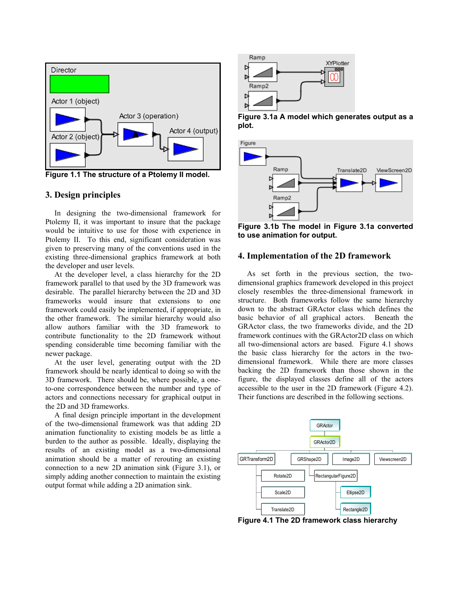

**Figure 1.1 The structure of a Ptolemy II model.** 

# **3. Design principles**

In designing the two-dimensional framework for Ptolemy II, it was important to insure that the package would be intuitive to use for those with experience in Ptolemy II. To this end, significant consideration was given to preserving many of the conventions used in the existing three-dimensional graphics framework at both the developer and user levels.

At the developer level, a class hierarchy for the 2D framework parallel to that used by the 3D framework was desirable. The parallel hierarchy between the 2D and 3D frameworks would insure that extensions to one framework could easily be implemented, if appropriate, in the other framework. The similar hierarchy would also allow authors familiar with the 3D framework to contribute functionality to the 2D framework without spending considerable time becoming familiar with the newer package.

At the user level, generating output with the 2D framework should be nearly identical to doing so with the 3D framework. There should be, where possible, a oneto-one correspondence between the number and type of actors and connections necessary for graphical output in the 2D and 3D frameworks.

A final design principle important in the development of the two-dimensional framework was that adding 2D animation functionality to existing models be as little a burden to the author as possible. Ideally, displaying the results of an existing model as a two-dimensional animation should be a matter of rerouting an existing connection to a new 2D animation sink (Figure 3.1), or simply adding another connection to maintain the existing output format while adding a 2D animation sink.



**Figure 3.1a A model which generates output as a plot.** 



**Figure 3.1b The model in Figure 3.1a converted to use animation for output.** 

### **4. Implementation of the 2D framework**

As set forth in the previous section, the twodimensional graphics framework developed in this project closely resembles the three-dimensional framework in structure. Both frameworks follow the same hierarchy down to the abstract GRActor class which defines the basic behavior of all graphical actors. Beneath the GRActor class, the two frameworks divide, and the 2D framework continues with the GRActor2D class on which all two-dimensional actors are based. Figure 4.1 shows the basic class hierarchy for the actors in the twodimensional framework. While there are more classes backing the 2D framework than those shown in the figure, the displayed classes define all of the actors accessible to the user in the 2D framework (Figure 4.2). Their functions are described in the following sections.



**Figure 4.1 The 2D framework class hierarchy**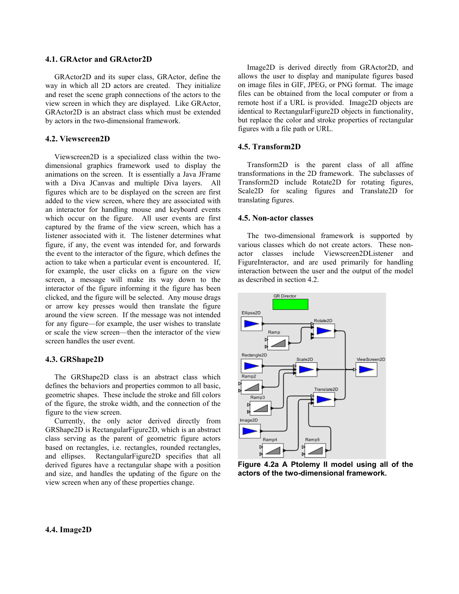#### **4.1. GRActor and GRActor2D**

GRActor2D and its super class, GRActor, define the way in which all 2D actors are created. They initialize and reset the scene graph connections of the actors to the view screen in which they are displayed. Like GRActor, GRActor2D is an abstract class which must be extended by actors in the two-dimensional framework.

### **4.2. Viewscreen2D**

Viewscreen2D is a specialized class within the twodimensional graphics framework used to display the animations on the screen. It is essentially a Java JFrame with a Diva JCanvas and multiple Diva layers. All figures which are to be displayed on the screen are first added to the view screen, where they are associated with an interactor for handling mouse and keyboard events which occur on the figure. All user events are first captured by the frame of the view screen, which has a listener associated with it. The listener determines what figure, if any, the event was intended for, and forwards the event to the interactor of the figure, which defines the action to take when a particular event is encountered. If, for example, the user clicks on a figure on the view screen, a message will make its way down to the interactor of the figure informing it the figure has been clicked, and the figure will be selected. Any mouse drags or arrow key presses would then translate the figure around the view screen. If the message was not intended for any figure—for example, the user wishes to translate or scale the view screen—then the interactor of the view screen handles the user event.

### **4.3. GRShape2D**

The GRShape2D class is an abstract class which defines the behaviors and properties common to all basic, geometric shapes. These include the stroke and fill colors of the figure, the stroke width, and the connection of the figure to the view screen.

Currently, the only actor derived directly from GRShape2D is RectangularFigure2D, which is an abstract class serving as the parent of geometric figure actors based on rectangles, i.e. rectangles, rounded rectangles, and ellipses. RectangularFigure2D specifies that all derived figures have a rectangular shape with a position and size, and handles the updating of the figure on the view screen when any of these properties change.

Image2D is derived directly from GRActor2D, and allows the user to display and manipulate figures based on image files in GIF, JPEG, or PNG format. The image files can be obtained from the local computer or from a remote host if a URL is provided. Image2D objects are identical to RectangularFigure2D objects in functionality, but replace the color and stroke properties of rectangular figures with a file path or URL.

#### **4.5. Transform2D**

Transform2D is the parent class of all affine transformations in the 2D framework. The subclasses of Transform2D include Rotate2D for rotating figures, Scale2D for scaling figures and Translate2D for translating figures.

#### **4.5. Non-actor classes**

The two-dimensional framework is supported by various classes which do not create actors. These nonactor classes include Viewscreen2DListener and FigureInteractor, and are used primarily for handling interaction between the user and the output of the model as described in section 4.2.



**Figure 4.2a A Ptolemy II model using all of the actors of the two-dimensional framework.**